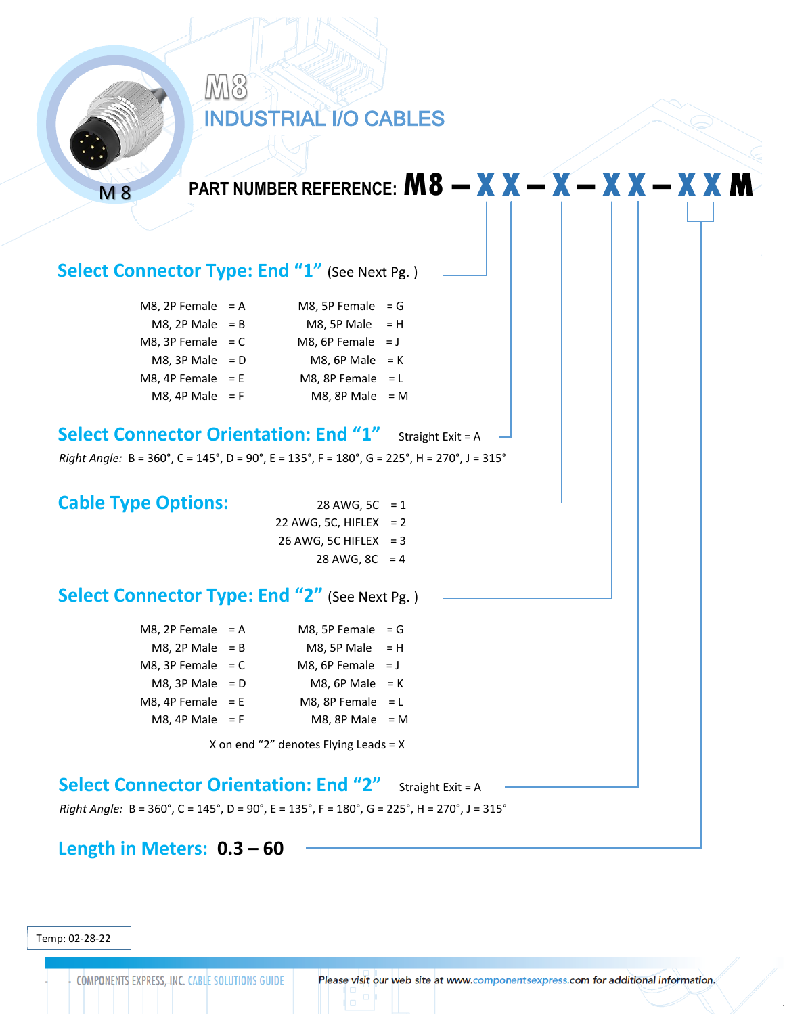

Temp: 02-28-22